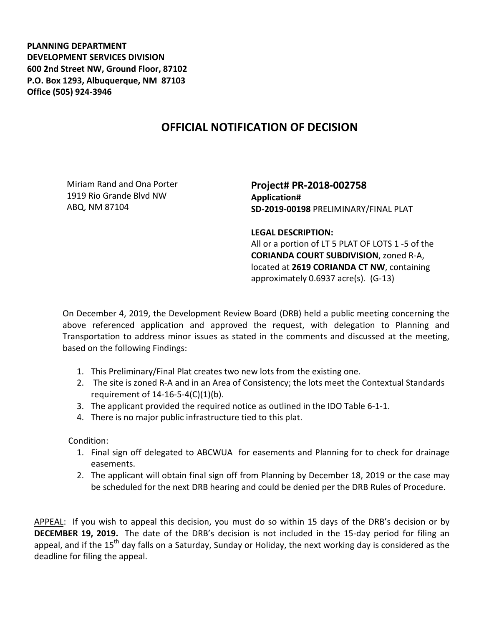**PLANNING DEPARTMENT DEVELOPMENT SERVICES DIVISION 600 2nd Street NW, Ground Floor, 87102 P.O. Box 1293, Albuquerque, NM 87103 Office (505) 924-3946** 

## **OFFICIAL NOTIFICATION OF DECISION**

Miriam Rand and Ona Porter 1919 Rio Grande Blvd NW ABQ, NM 87104

**Project# PR-2018-002758 Application# SD-2019-00198** PRELIMINARY/FINAL PLAT

## **LEGAL DESCRIPTION:**

All or a portion of LT 5 PLAT OF LOTS 1 -5 of the **CORIANDA COURT SUBDIVISION**, zoned R-A, located at **2619 CORIANDA CT NW**, containing approximately 0.6937 acre(s). (G-13)

On December 4, 2019, the Development Review Board (DRB) held a public meeting concerning the above referenced application and approved the request, with delegation to Planning and Transportation to address minor issues as stated in the comments and discussed at the meeting, based on the following Findings:

- 1. This Preliminary/Final Plat creates two new lots from the existing one.
- 2. The site is zoned R-A and in an Area of Consistency; the lots meet the Contextual Standards requirement of 14-16-5-4(C)(1)(b).
- 3. The applicant provided the required notice as outlined in the IDO Table 6-1-1.
- 4. There is no major public infrastructure tied to this plat.

Condition:

- 1. Final sign off delegated to ABCWUA for easements and Planning for to check for drainage easements.
- 2. The applicant will obtain final sign off from Planning by December 18, 2019 or the case may be scheduled for the next DRB hearing and could be denied per the DRB Rules of Procedure.

APPEAL: If you wish to appeal this decision, you must do so within 15 days of the DRB's decision or by **DECEMBER 19, 2019.** The date of the DRB's decision is not included in the 15-day period for filing an appeal, and if the 15<sup>th</sup> day falls on a Saturday, Sunday or Holiday, the next working day is considered as the deadline for filing the appeal.